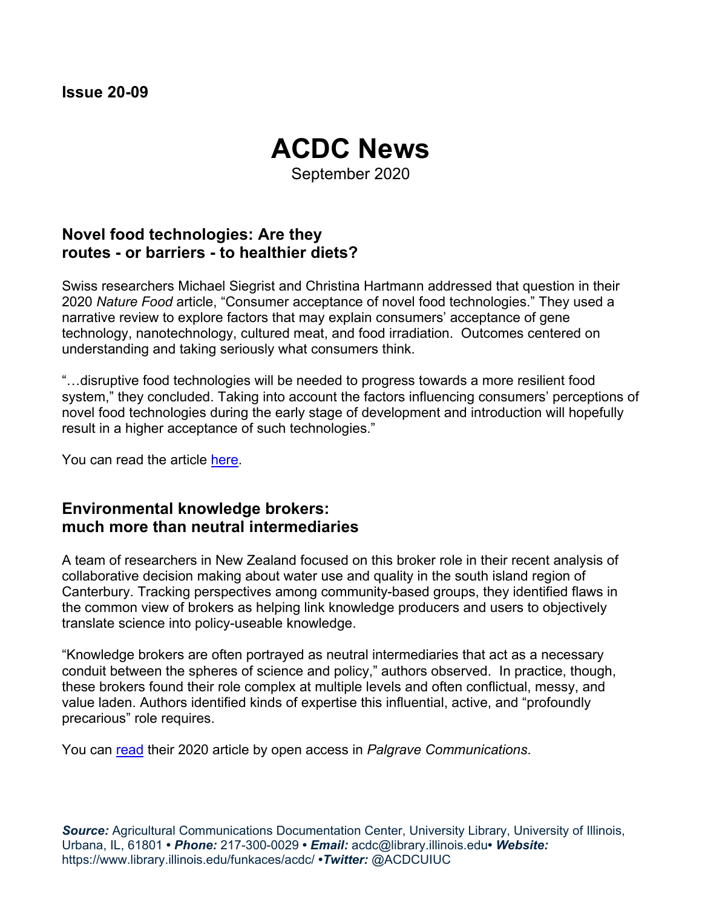# **ACDC News**

September 2020

## **Novel food technologies: Are they routes - or barriers - to healthier diets?**

Swiss researchers Michael Siegrist and Christina Hartmann addressed that question in their 2020 *Nature Food* article, "Consumer acceptance of novel food technologies." They used a narrative review to explore factors that may explain consumers' acceptance of gene technology, nanotechnology, cultured meat, and food irradiation. Outcomes centered on understanding and taking seriously what consumers think.

"…disruptive food technologies will be needed to progress towards a more resilient food system," they concluded. Taking into account the factors influencing consumers' perceptions of novel food technologies during the early stage of development and introduction will hopefully result in a higher acceptance of such technologies."

You can read the article [here.](https://doi.org/10.1038/s43016-020-0094-x)

#### **Environmental knowledge brokers: much more than neutral intermediaries**

A team of researchers in New Zealand focused on this broker role in their recent analysis of collaborative decision making about water use and quality in the south island region of Canterbury. Tracking perspectives among community-based groups, they identified flaws in the common view of brokers as helping link knowledge producers and users to objectively translate science into policy-useable knowledge.

"Knowledge brokers are often portrayed as neutral intermediaries that act as a necessary conduit between the spheres of science and policy," authors observed. In practice, though, these brokers found their role complex at multiple levels and often conflictual, messy, and value laden. Authors identified kinds of expertise this influential, active, and "profoundly precarious" role requires.

You can [read](https://doi.org/10.1057/s41599-020-0448-x) their 2020 article by open access in *Palgrave Communications*.

*Source:* Agricultural Communications Documentation Center, University Library, University of Illinois, Urbana, IL, 61801 **•** *Phone:* 217-300-0029 **•** *Email:* acdc@library.illinois.edu**•** *Website:* https://www.library.illinois.edu/funkaces/acdc/ **•***Twitter:* @ACDCUIUC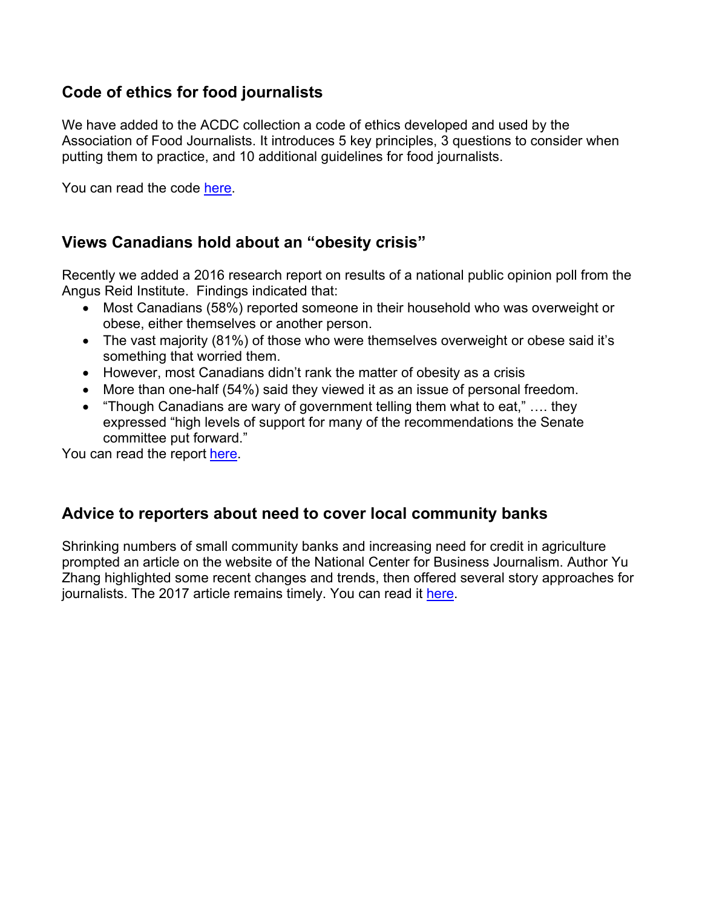## **Code of ethics for food journalists**

We have added to the ACDC collection a code of ethics developed and used by the Association of Food Journalists. It introduces 5 key principles, 3 questions to consider when putting them to practice, and 10 additional guidelines for food journalists.

You can read the code [here.](https://afjonline.com/ethics)

## **Views Canadians hold about an "obesity crisis"**

Recently we added a 2016 research report on results of a national public opinion poll from the Angus Reid Institute. Findings indicated that:

- Most Canadians (58%) reported someone in their household who was overweight or obese, either themselves or another person.
- The vast majority (81%) of those who were themselves overweight or obese said it's something that worried them.
- However, most Canadians didn't rank the matter of obesity as a crisis
- More than one-half (54%) said they viewed it as an issue of personal freedom.
- "Though Canadians are wary of government telling them what to eat," …. they expressed "high levels of support for many of the recommendations the Senate committee put forward."

You can read the report [here.](http://angusreid.org/obesity-crisis/)

#### **Advice to reporters about need to cover local community banks**

Shrinking numbers of small community banks and increasing need for credit in agriculture prompted an article on the website of the National Center for Business Journalism. Author Yu Zhang highlighted some recent changes and trends, then offered several story approaches for journalists. The 2017 article remains timely. You can read it [here.](https://businessjournalism.org/2017/04/covering-local-community-banks-trends-stats)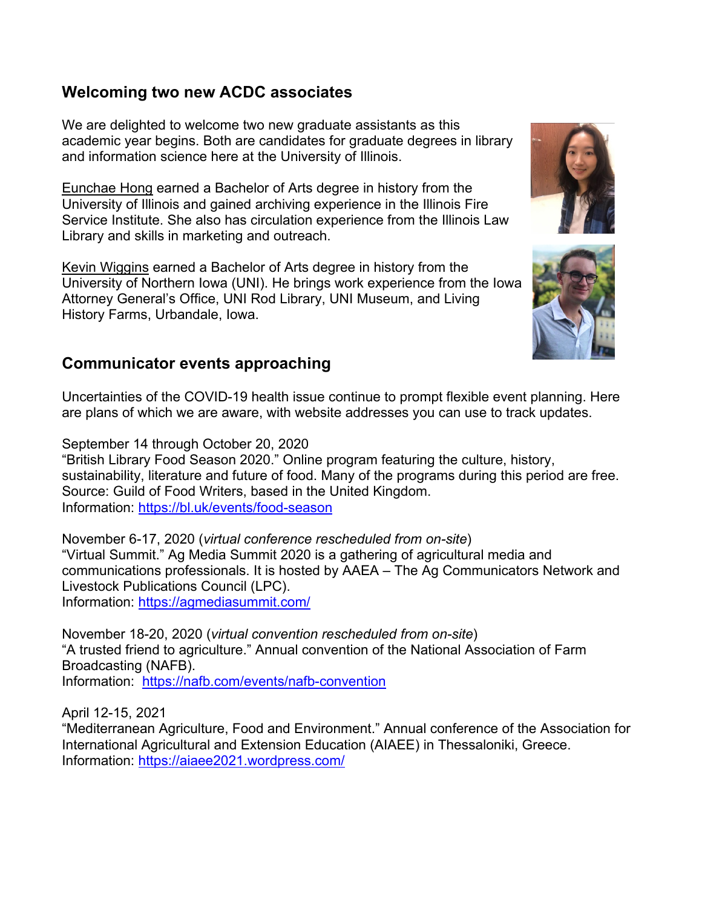## **Welcoming two new ACDC associates**

We are delighted to welcome two new graduate assistants as this academic year begins. Both are candidates for graduate degrees in library and information science here at the University of Illinois.

Eunchae Hong earned a Bachelor of Arts degree in history from the University of Illinois and gained archiving experience in the Illinois Fire Service Institute. She also has circulation experience from the Illinois Law Library and skills in marketing and outreach.

Kevin Wiggins earned a Bachelor of Arts degree in history from the University of Northern Iowa (UNI). He brings work experience from the Iowa Attorney General's Office, UNI Rod Library, UNI Museum, and Living History Farms, Urbandale, Iowa.

#### **Communicator events approaching**

Uncertainties of the COVID-19 health issue continue to prompt flexible event planning. Here are plans of which we are aware, with website addresses you can use to track updates.

September 14 through October 20, 2020

"British Library Food Season 2020." Online program featuring the culture, history, sustainability, literature and future of food. Many of the programs during this period are free. Source: Guild of Food Writers, based in the United Kingdom. Information:<https://bl.uk/events/food-season>

November 6-17, 2020 (*virtual conference rescheduled from on-site*) "Virtual Summit." Ag Media Summit 2020 is a gathering of agricultural media and communications professionals. It is hosted by AAEA – The Ag Communicators Network and Livestock Publications Council (LPC). Information:<https://agmediasummit.com/>

November 18-20, 2020 (*virtual convention rescheduled from on-site*) "A trusted friend to agriculture." Annual convention of the National Association of Farm Broadcasting (NAFB). Information: <https://nafb.com/events/nafb-convention>

April 12-15, 2021

"Mediterranean Agriculture, Food and Environment." Annual conference of the Association for International Agricultural and Extension Education (AIAEE) in Thessaloniki, Greece. Information:<https://aiaee2021.wordpress.com/>